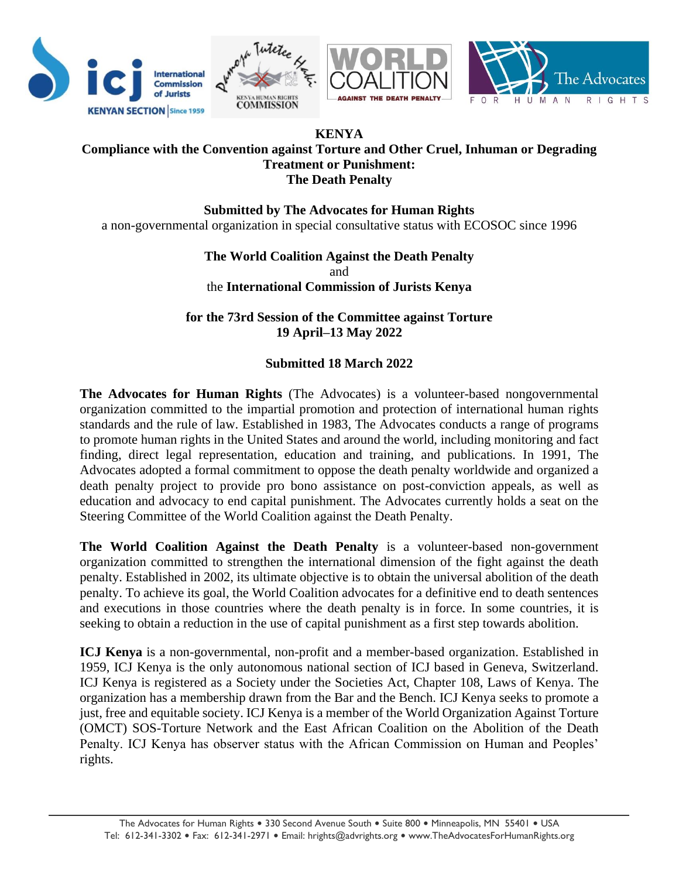

## **KENYA Compliance with the Convention against Torture and Other Cruel, Inhuman or Degrading Treatment or Punishment: The Death Penalty**

**Submitted by The Advocates for Human Rights** a non-governmental organization in special consultative status with ECOSOC since 1996

> **The World Coalition Against the Death Penalty**  and the **International Commission of Jurists Kenya**

**for the 73rd Session of the Committee against Torture 19 April–13 May 2022**

# **Submitted 18 March 2022**

**The Advocates for Human Rights** (The Advocates) is a volunteer-based nongovernmental organization committed to the impartial promotion and protection of international human rights standards and the rule of law. Established in 1983, The Advocates conducts a range of programs to promote human rights in the United States and around the world, including monitoring and fact finding, direct legal representation, education and training, and publications. In 1991, The Advocates adopted a formal commitment to oppose the death penalty worldwide and organized a death penalty project to provide pro bono assistance on post-conviction appeals, as well as education and advocacy to end capital punishment. The Advocates currently holds a seat on the Steering Committee of the World Coalition against the Death Penalty.

**The World Coalition Against the Death Penalty** is a volunteer-based non-government organization committed to strengthen the international dimension of the fight against the death penalty. Established in 2002, its ultimate objective is to obtain the universal abolition of the death penalty. To achieve its goal, the World Coalition advocates for a definitive end to death sentences and executions in those countries where the death penalty is in force. In some countries, it is seeking to obtain a reduction in the use of capital punishment as a first step towards abolition.

**ICJ Kenya** is a non-governmental, non-profit and a member-based organization. Established in 1959, ICJ Kenya is the only autonomous national section of ICJ based in Geneva, Switzerland. ICJ Kenya is registered as a Society under the Societies Act, Chapter 108, Laws of Kenya. The organization has a membership drawn from the Bar and the Bench. ICJ Kenya seeks to promote a just, free and equitable society. ICJ Kenya is a member of the World Organization Against Torture (OMCT) SOS-Torture Network and the East African Coalition on the Abolition of the Death Penalty. ICJ Kenya has observer status with the African Commission on Human and Peoples' rights.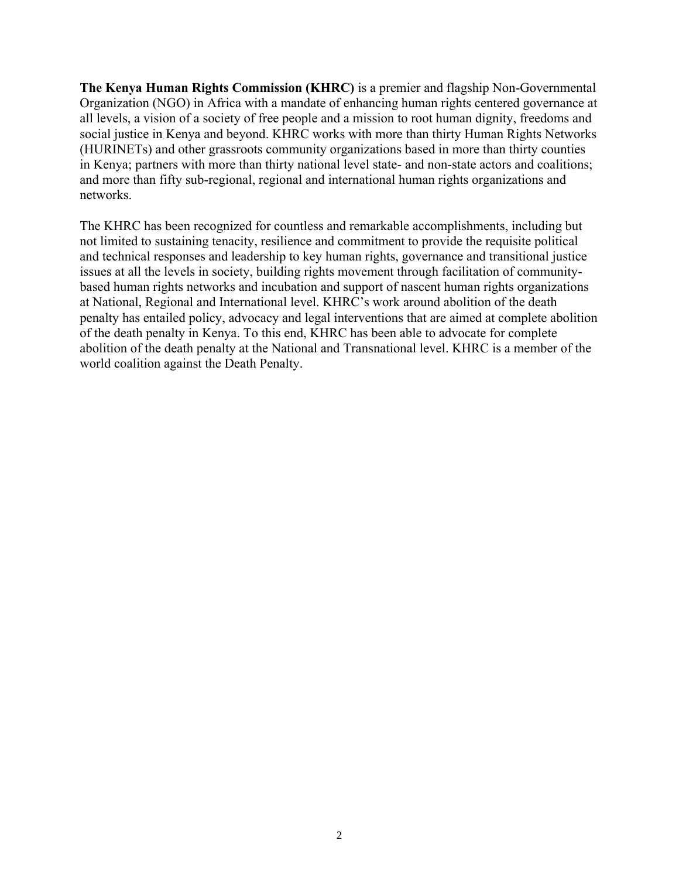**The Kenya Human Rights Commission (KHRC)** is a premier and flagship Non-Governmental Organization (NGO) in Africa with a mandate of enhancing human rights centered governance at all levels, a vision of a society of free people and a mission to root human dignity, freedoms and social justice in Kenya and beyond. KHRC works with more than thirty Human Rights Networks (HURINETs) and other grassroots community organizations based in more than thirty counties in Kenya; partners with more than thirty national level state- and non-state actors and coalitions; and more than fifty sub-regional, regional and international human rights organizations and networks.

The KHRC has been recognized for countless and remarkable accomplishments, including but not limited to sustaining tenacity, resilience and commitment to provide the requisite political and technical responses and leadership to key human rights, governance and transitional justice issues at all the levels in society, building rights movement through facilitation of communitybased human rights networks and incubation and support of nascent human rights organizations at National, Regional and International level. KHRC's work around abolition of the death penalty has entailed policy, advocacy and legal interventions that are aimed at complete abolition of the death penalty in Kenya. To this end, KHRC has been able to advocate for complete abolition of the death penalty at the National and Transnational level. KHRC is a member of the world coalition against the Death Penalty.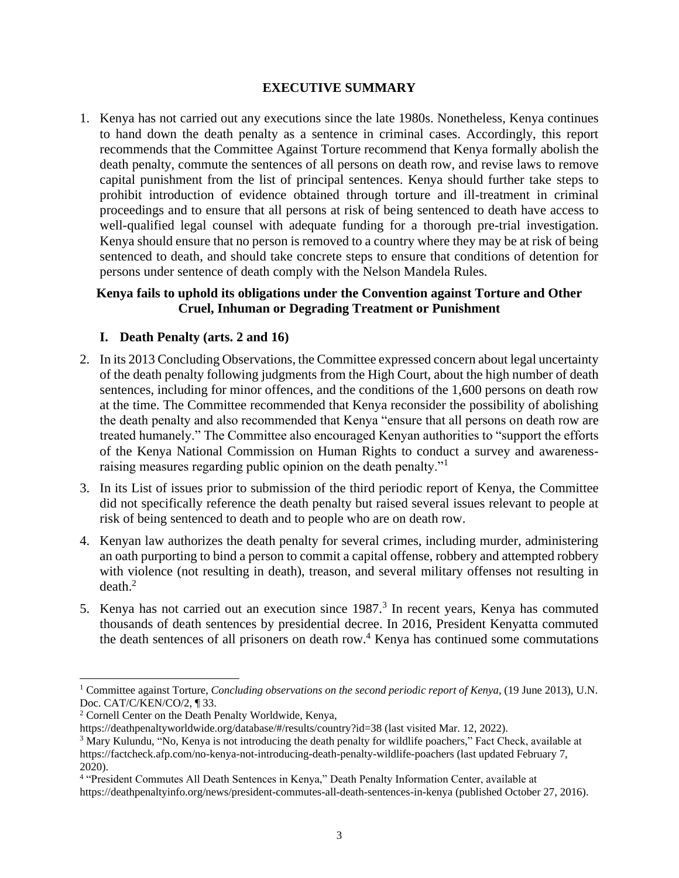## **EXECUTIVE SUMMARY**

1. Kenya has not carried out any executions since the late 1980s. Nonetheless, Kenya continues to hand down the death penalty as a sentence in criminal cases. Accordingly, this report recommends that the Committee Against Torture recommend that Kenya formally abolish the death penalty, commute the sentences of all persons on death row, and revise laws to remove capital punishment from the list of principal sentences. Kenya should further take steps to prohibit introduction of evidence obtained through torture and ill-treatment in criminal proceedings and to ensure that all persons at risk of being sentenced to death have access to well-qualified legal counsel with adequate funding for a thorough pre-trial investigation. Kenya should ensure that no person is removed to a country where they may be at risk of being sentenced to death, and should take concrete steps to ensure that conditions of detention for persons under sentence of death comply with the Nelson Mandela Rules.

## **Kenya fails to uphold its obligations under the Convention against Torture and Other Cruel, Inhuman or Degrading Treatment or Punishment**

## **I. Death Penalty (arts. 2 and 16)**

- 2. In its 2013 Concluding Observations, the Committee expressed concern about legal uncertainty of the death penalty following judgments from the High Court, about the high number of death sentences, including for minor offences, and the conditions of the 1,600 persons on death row at the time. The Committee recommended that Kenya reconsider the possibility of abolishing the death penalty and also recommended that Kenya "ensure that all persons on death row are treated humanely." The Committee also encouraged Kenyan authorities to "support the efforts of the Kenya National Commission on Human Rights to conduct a survey and awarenessraising measures regarding public opinion on the death penalty."
- 3. In its List of issues prior to submission of the third periodic report of Kenya, the Committee did not specifically reference the death penalty but raised several issues relevant to people at risk of being sentenced to death and to people who are on death row.
- <span id="page-2-0"></span>4. Kenyan law authorizes the death penalty for several crimes, including murder, administering an oath purporting to bind a person to commit a capital offense, robbery and attempted robbery with violence (not resulting in death), treason, and several military offenses not resulting in  $death<sup>2</sup>$
- 5. Kenya has not carried out an execution since  $1987<sup>3</sup>$  In recent years, Kenya has commuted thousands of death sentences by presidential decree. In 2016, President Kenyatta commuted the death sentences of all prisoners on death row.<sup>4</sup> Kenya has continued some commutations

<sup>1</sup> Committee against Torture, *Concluding observations on the second periodic report of Kenya*, (19 June 2013), U.N. Doc. CAT/C/KEN/CO/2, ¶ 33.

<sup>2</sup> Cornell Center on the Death Penalty Worldwide, Kenya,

https://deathpenaltyworldwide.org/database/#/results/country?id=38 (last visited Mar. 12, 2022).

<sup>&</sup>lt;sup>3</sup> Mary Kulundu, "No, Kenya is not introducing the death penalty for wildlife poachers," Fact Check, available at https://factcheck.afp.com/no-kenya-not-introducing-death-penalty-wildlife-poachers (last updated February 7, 2020).

<sup>4</sup> "President Commutes All Death Sentences in Kenya," Death Penalty Information Center, available at https://deathpenaltyinfo.org/news/president-commutes-all-death-sentences-in-kenya (published October 27, 2016).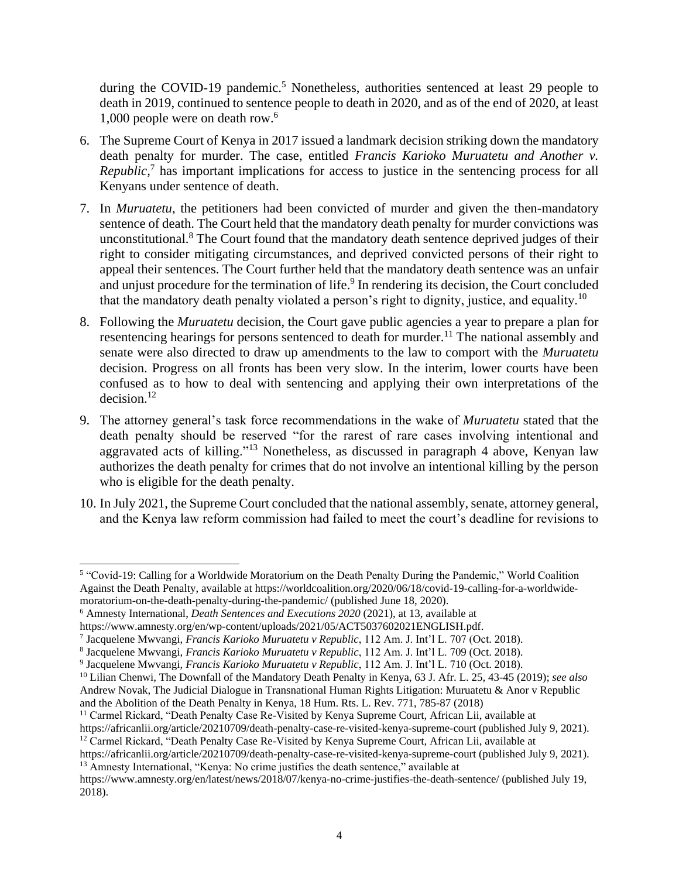during the COVID-19 pandemic.<sup>5</sup> Nonetheless, authorities sentenced at least 29 people to death in 2019, continued to sentence people to death in 2020, and as of the end of 2020, at least 1,000 people were on death row.<sup>6</sup>

- 6. The Supreme Court of Kenya in 2017 issued a landmark decision striking down the mandatory death penalty for murder. The case, entitled *Francis Karioko Muruatetu and Another v. Republic*,<sup>7</sup> has important implications for access to justice in the sentencing process for all Kenyans under sentence of death.
- 7. In *Muruatetu*, the petitioners had been convicted of murder and given the then-mandatory sentence of death. The Court held that the mandatory death penalty for murder convictions was unconstitutional.<sup>8</sup> The Court found that the mandatory death sentence deprived judges of their right to consider mitigating circumstances, and deprived convicted persons of their right to appeal their sentences. The Court further held that the mandatory death sentence was an unfair and unjust procedure for the termination of life.<sup>9</sup> In rendering its decision, the Court concluded that the mandatory death penalty violated a person's right to dignity, justice, and equality.<sup>10</sup>
- 8. Following the *Muruatetu* decision, the Court gave public agencies a year to prepare a plan for resentencing hearings for persons sentenced to death for murder.<sup>11</sup> The national assembly and senate were also directed to draw up amendments to the law to comport with the *Muruatetu* decision. Progress on all fronts has been very slow. In the interim, lower courts have been confused as to how to deal with sentencing and applying their own interpretations of the  $decision.<sup>12</sup>$
- 9. The attorney general's task force recommendations in the wake of *Muruatetu* stated that the death penalty should be reserved "for the rarest of rare cases involving intentional and aggravated acts of killing."<sup>13</sup> Nonetheless, as discussed in paragraph [4](#page-2-0) above, Kenyan law authorizes the death penalty for crimes that do not involve an intentional killing by the person who is eligible for the death penalty.
- 10. In July 2021, the Supreme Court concluded that the national assembly, senate, attorney general, and the Kenya law reform commission had failed to meet the court's deadline for revisions to

<sup>11</sup> Carmel Rickard, "Death Penalty Case Re-Visited by Kenya Supreme Court*,* African Lii, available at

<sup>&</sup>lt;sup>5</sup> "Covid-19: Calling for a Worldwide Moratorium on the Death Penalty During the Pandemic," World Coalition Against the Death Penalty, available at https://worldcoalition.org/2020/06/18/covid-19-calling-for-a-worldwidemoratorium-on-the-death-penalty-during-the-pandemic/ (published June 18, 2020).

<sup>6</sup> Amnesty International, *Death Sentences and Executions 2020* (2021), at 13, available at

https://www.amnesty.org/en/wp-content/uploads/2021/05/ACT5037602021ENGLISH.pdf.

<sup>7</sup> Jacquelene Mwvangi, *Francis Karioko Muruatetu v Republic*, 112 Am. J. Int'l L. 707 (Oct. 2018).

<sup>8</sup> Jacquelene Mwvangi, *Francis Karioko Muruatetu v Republic*, 112 Am. J. Int'l L. 709 (Oct. 2018).

<sup>9</sup> Jacquelene Mwvangi, *Francis Karioko Muruatetu v Republic*, 112 Am. J. Int'l L. 710 (Oct. 2018).

<sup>10</sup> Lilian Chenwi, The Downfall of the Mandatory Death Penalty in Kenya, 63 J. Afr. L. 25, 43-45 (2019); *see also*  Andrew Novak, The Judicial Dialogue in Transnational Human Rights Litigation: Muruatetu & Anor v Republic and the Abolition of the Death Penalty in Kenya, 18 Hum. Rts. L. Rev. 771, 785-87 (2018)

https://africanlii.org/article/20210709/death-penalty-case-re-visited-kenya-supreme-court (published July 9, 2021). <sup>12</sup> Carmel Rickard, "Death Penalty Case Re-Visited by Kenya Supreme Court*,* African Lii, available at

https://africanlii.org/article/20210709/death-penalty-case-re-visited-kenya-supreme-court (published July 9, 2021). <sup>13</sup> Amnesty International, "Kenya: No crime justifies the death sentence," available at

https://www.amnesty.org/en/latest/news/2018/07/kenya-no-crime-justifies-the-death-sentence/ (published July 19, 2018).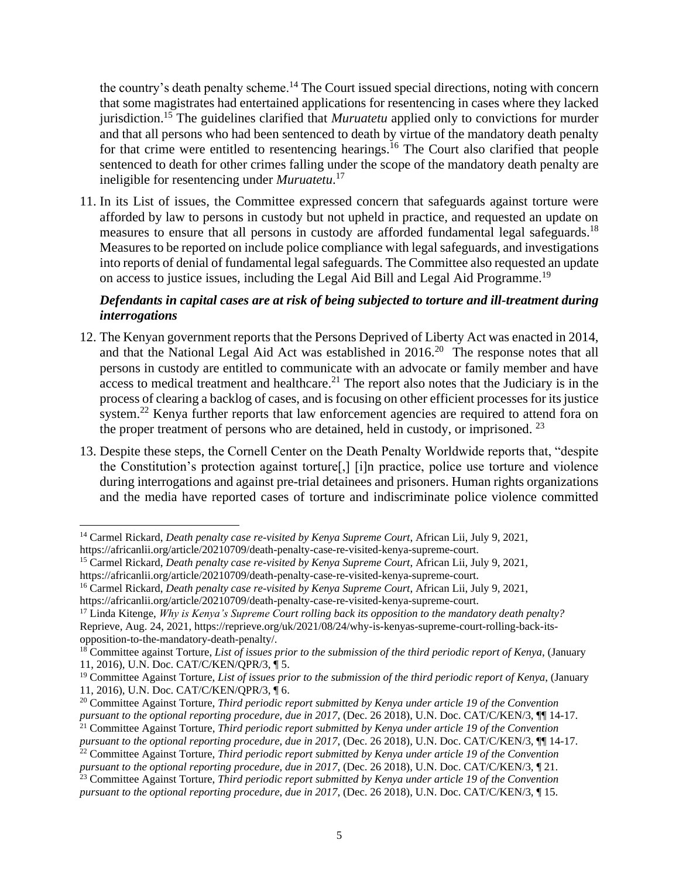the country's death penalty scheme.<sup>14</sup> The Court issued special directions, noting with concern that some magistrates had entertained applications for resentencing in cases where they lacked jurisdiction.<sup>15</sup> The guidelines clarified that *Muruatetu* applied only to convictions for murder and that all persons who had been sentenced to death by virtue of the mandatory death penalty for that crime were entitled to resentencing hearings.<sup>16</sup> The Court also clarified that people sentenced to death for other crimes falling under the scope of the mandatory death penalty are ineligible for resentencing under *Muruatetu*. 17

11. In its List of issues, the Committee expressed concern that safeguards against torture were afforded by law to persons in custody but not upheld in practice, and requested an update on measures to ensure that all persons in custody are afforded fundamental legal safeguards.<sup>18</sup> Measures to be reported on include police compliance with legal safeguards, and investigations into reports of denial of fundamental legal safeguards. The Committee also requested an update on access to justice issues, including the Legal Aid Bill and Legal Aid Programme.<sup>19</sup>

## *Defendants in capital cases are at risk of being subjected to torture and ill-treatment during interrogations*

- 12. The Kenyan government reports that the Persons Deprived of Liberty Act was enacted in 2014, and that the National Legal Aid Act was established in  $2016$ <sup>20</sup> The response notes that all persons in custody are entitled to communicate with an advocate or family member and have  $\alpha$  access to medical treatment and healthcare.<sup>21</sup> The report also notes that the Judiciary is in the process of clearing a backlog of cases, and is focusing on other efficient processes for its justice system.<sup>22</sup> Kenya further reports that law enforcement agencies are required to attend fora on the proper treatment of persons who are detained, held in custody, or imprisoned.  $^{23}$
- 13. Despite these steps, the Cornell Center on the Death Penalty Worldwide reports that, "despite the Constitution's protection against torture[,] [i]n practice, police use torture and violence during interrogations and against pre-trial detainees and prisoners. Human rights organizations and the media have reported cases of torture and indiscriminate police violence committed

<sup>14</sup> Carmel Rickard, *Death penalty case re-visited by Kenya Supreme Court*, African Lii, July 9, 2021, https://africanlii.org/article/20210709/death-penalty-case-re-visited-kenya-supreme-court.

<sup>15</sup> Carmel Rickard, *Death penalty case re-visited by Kenya Supreme Court*, African Lii, July 9, 2021,

https://africanlii.org/article/20210709/death-penalty-case-re-visited-kenya-supreme-court. <sup>16</sup> Carmel Rickard, *Death penalty case re-visited by Kenya Supreme Court*, African Lii, July 9, 2021,

https://africanlii.org/article/20210709/death-penalty-case-re-visited-kenya-supreme-court.

<sup>17</sup> Linda Kitenge, *Why is Kenya's Supreme Court rolling back its opposition to the mandatory death penalty?* Reprieve, Aug. 24, 2021, https://reprieve.org/uk/2021/08/24/why-is-kenyas-supreme-court-rolling-back-itsopposition-to-the-mandatory-death-penalty/.

<sup>18</sup> Committee against Torture, *List of issues prior to the submission of the third periodic report of Kenya*, (January 11, 2016), U.N. Doc. CAT/C/KEN/QPR/3, ¶ 5.

<sup>19</sup> Committee Against Torture, *List of issues prior to the submission of the third periodic report of Kenya*, (January 11, 2016), U.N. Doc. CAT/C/KEN/QPR/3, ¶ 6.

<sup>20</sup> Committee Against Torture, *Third periodic report submitted by Kenya under article 19 of the Convention pursuant to the optional reporting procedure, due in 2017*, (Dec. 26 2018), U.N. Doc. CAT/C/KEN/3, ¶¶ 14-17.

<sup>21</sup> Committee Against Torture, *Third periodic report submitted by Kenya under article 19 of the Convention pursuant to the optional reporting procedure, due in 2017*, (Dec. 26 2018), U.N. Doc. CAT/C/KEN/3, ¶¶ 14-17.

<sup>22</sup> Committee Against Torture, *Third periodic report submitted by Kenya under article 19 of the Convention pursuant to the optional reporting procedure, due in 2017*, (Dec. 26 2018), U.N. Doc. CAT/C/KEN/3, ¶ 21.

<sup>23</sup> Committee Against Torture, *Third periodic report submitted by Kenya under article 19 of the Convention pursuant to the optional reporting procedure, due in 2017*, (Dec. 26 2018), U.N. Doc. CAT/C/KEN/3, ¶ 15.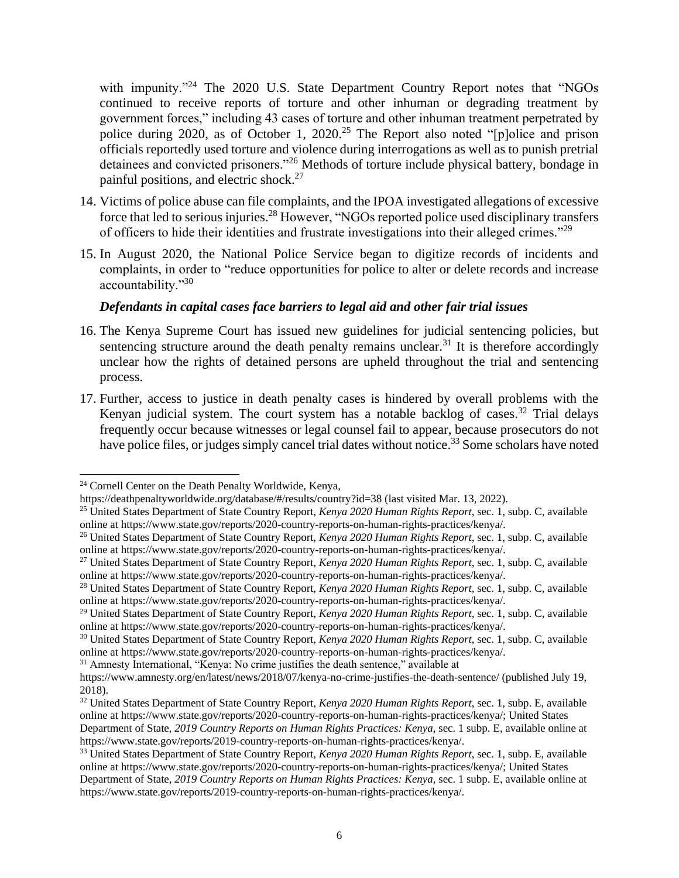with impunity."<sup>24</sup> The 2020 U.S. State Department Country Report notes that "NGOs continued to receive reports of torture and other inhuman or degrading treatment by government forces," including 43 cases of torture and other inhuman treatment perpetrated by police during 2020, as of October 1, 2020.<sup>25</sup> The Report also noted "[p]olice and prison officials reportedly used torture and violence during interrogations as well as to punish pretrial detainees and convicted prisoners."<sup>26</sup> Methods of torture include physical battery, bondage in painful positions, and electric shock.<sup>27</sup>

- 14. Victims of police abuse can file complaints, and the IPOA investigated allegations of excessive force that led to serious injuries.<sup>28</sup> However, "NGOs reported police used disciplinary transfers of officers to hide their identities and frustrate investigations into their alleged crimes."<sup>29</sup>
- 15. In August 2020, the National Police Service began to digitize records of incidents and complaints, in order to "reduce opportunities for police to alter or delete records and increase accountability."<sup>30</sup>

### *Defendants in capital cases face barriers to legal aid and other fair trial issues*

- 16. The Kenya Supreme Court has issued new guidelines for judicial sentencing policies, but sentencing structure around the death penalty remains unclear.<sup>31</sup> It is therefore accordingly unclear how the rights of detained persons are upheld throughout the trial and sentencing process.
- 17. Further, access to justice in death penalty cases is hindered by overall problems with the Kenyan judicial system. The court system has a notable backlog of cases.<sup>32</sup> Trial delays frequently occur because witnesses or legal counsel fail to appear, because prosecutors do not have police files, or judges simply cancel trial dates without notice.<sup>33</sup> Some scholars have noted

<sup>31</sup> Amnesty International, "Kenya: No crime justifies the death sentence," available at

<sup>24</sup> Cornell Center on the Death Penalty Worldwide, Kenya,

https://deathpenaltyworldwide.org/database/#/results/country?id=38 (last visited Mar. 13, 2022).

<sup>25</sup> United States Department of State Country Report, *Kenya 2020 Human Rights Report*, sec. 1, subp. C, available online at https://www.state.gov/reports/2020-country-reports-on-human-rights-practices/kenya/.

<sup>26</sup> United States Department of State Country Report, *Kenya 2020 Human Rights Report*, sec. 1, subp. C, available online at https://www.state.gov/reports/2020-country-reports-on-human-rights-practices/kenya/.

<sup>27</sup> United States Department of State Country Report, *Kenya 2020 Human Rights Report*, sec. 1, subp. C, available online at https://www.state.gov/reports/2020-country-reports-on-human-rights-practices/kenya/.

<sup>28</sup> United States Department of State Country Report, *Kenya 2020 Human Rights Report*, sec. 1, subp. C, available online at https://www.state.gov/reports/2020-country-reports-on-human-rights-practices/kenya/.

<sup>29</sup> United States Department of State Country Report, *Kenya 2020 Human Rights Report*, sec. 1, subp. C, available online at https://www.state.gov/reports/2020-country-reports-on-human-rights-practices/kenya/.

<sup>30</sup> United States Department of State Country Report, *Kenya 2020 Human Rights Report*, sec. 1, subp. C, available online at https://www.state.gov/reports/2020-country-reports-on-human-rights-practices/kenya/.

https://www.amnesty.org/en/latest/news/2018/07/kenya-no-crime-justifies-the-death-sentence/ (published July 19, 2018).

<sup>32</sup> United States Department of State Country Report, *Kenya 2020 Human Rights Report*, sec. 1, subp. E, available online at https://www.state.gov/reports/2020-country-reports-on-human-rights-practices/kenya/; United States

Department of State, *2019 Country Reports on Human Rights Practices: Kenya*, sec. 1 subp. E, available online at https://www.state.gov/reports/2019-country-reports-on-human-rights-practices/kenya/.

<sup>33</sup> United States Department of State Country Report, *Kenya 2020 Human Rights Report*, sec. 1, subp. E, available online at https://www.state.gov/reports/2020-country-reports-on-human-rights-practices/kenya/; United States

Department of State, *2019 Country Reports on Human Rights Practices: Kenya*, sec. 1 subp. E, available online at https://www.state.gov/reports/2019-country-reports-on-human-rights-practices/kenya/.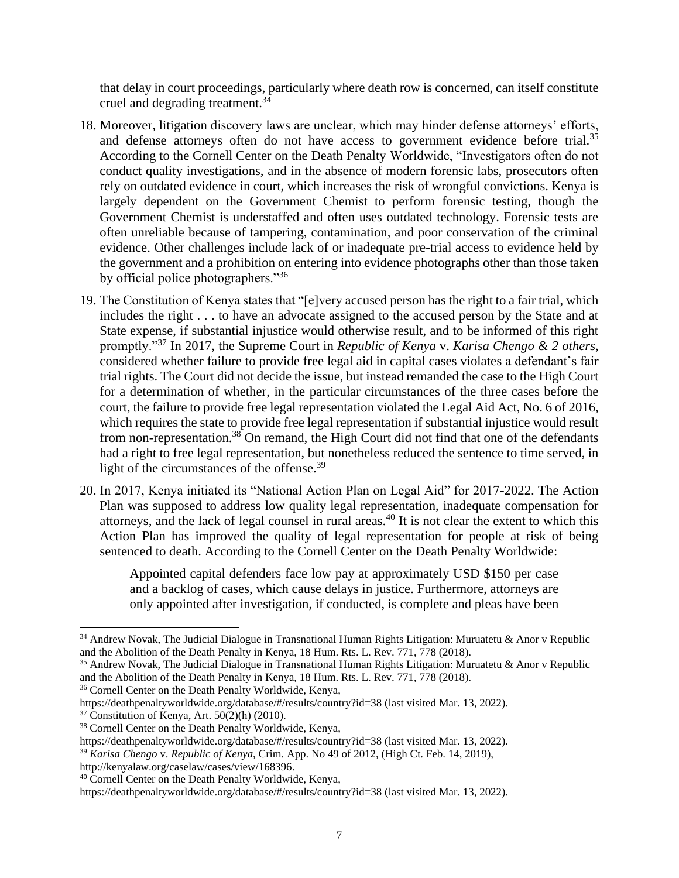that delay in court proceedings, particularly where death row is concerned, can itself constitute cruel and degrading treatment.<sup>34</sup>

- 18. Moreover, litigation discovery laws are unclear, which may hinder defense attorneys' efforts, and defense attorneys often do not have access to government evidence before trial.<sup>35</sup> According to the Cornell Center on the Death Penalty Worldwide, "Investigators often do not conduct quality investigations, and in the absence of modern forensic labs, prosecutors often rely on outdated evidence in court, which increases the risk of wrongful convictions. Kenya is largely dependent on the Government Chemist to perform forensic testing, though the Government Chemist is understaffed and often uses outdated technology. Forensic tests are often unreliable because of tampering, contamination, and poor conservation of the criminal evidence. Other challenges include lack of or inadequate pre-trial access to evidence held by the government and a prohibition on entering into evidence photographs other than those taken by official police photographers."<sup>36</sup>
- 19. The Constitution of Kenya states that "[e]very accused person has the right to a fair trial, which includes the right . . . to have an advocate assigned to the accused person by the State and at State expense, if substantial injustice would otherwise result, and to be informed of this right promptly."<sup>37</sup> In 2017, the Supreme Court in *Republic of Kenya* v. *Karisa Chengo & 2 others*, considered whether failure to provide free legal aid in capital cases violates a defendant's fair trial rights. The Court did not decide the issue, but instead remanded the case to the High Court for a determination of whether, in the particular circumstances of the three cases before the court, the failure to provide free legal representation violated the Legal Aid Act, No. 6 of 2016, which requires the state to provide free legal representation if substantial injustice would result from non-representation.<sup>38</sup> On remand, the High Court did not find that one of the defendants had a right to free legal representation, but nonetheless reduced the sentence to time served, in light of the circumstances of the offense.<sup>39</sup>
- 20. In 2017, Kenya initiated its "National Action Plan on Legal Aid" for 2017-2022. The Action Plan was supposed to address low quality legal representation, inadequate compensation for attorneys, and the lack of legal counsel in rural areas.<sup>40</sup> It is not clear the extent to which this Action Plan has improved the quality of legal representation for people at risk of being sentenced to death. According to the Cornell Center on the Death Penalty Worldwide:

Appointed capital defenders face low pay at approximately USD \$150 per case and a backlog of cases, which cause delays in justice. Furthermore, attorneys are only appointed after investigation, if conducted, is complete and pleas have been

<sup>36</sup> Cornell Center on the Death Penalty Worldwide, Kenya,

<sup>34</sup> Andrew Novak, The Judicial Dialogue in Transnational Human Rights Litigation: Muruatetu & Anor v Republic and the Abolition of the Death Penalty in Kenya, 18 Hum. Rts. L. Rev. 771, 778 (2018).

<sup>35</sup> Andrew Novak, The Judicial Dialogue in Transnational Human Rights Litigation: Muruatetu & Anor v Republic and the Abolition of the Death Penalty in Kenya, 18 Hum. Rts. L. Rev. 771, 778 (2018).

https://deathpenaltyworldwide.org/database/#/results/country?id=38 (last visited Mar. 13, 2022).

 $37$  Constitution of Kenya, Art.  $50(2)(h)$  (2010).

<sup>38</sup> Cornell Center on the Death Penalty Worldwide, Kenya,

https://deathpenaltyworldwide.org/database/#/results/country?id=38 (last visited Mar. 13, 2022).

<sup>39</sup> *Karisa Chengo* v. *Republic of Kenya*, Crim. App. No 49 of 2012, (High Ct. Feb. 14, 2019), http://kenyalaw.org/caselaw/cases/view/168396.

<sup>40</sup> Cornell Center on the Death Penalty Worldwide, Kenya,

https://deathpenaltyworldwide.org/database/#/results/country?id=38 (last visited Mar. 13, 2022).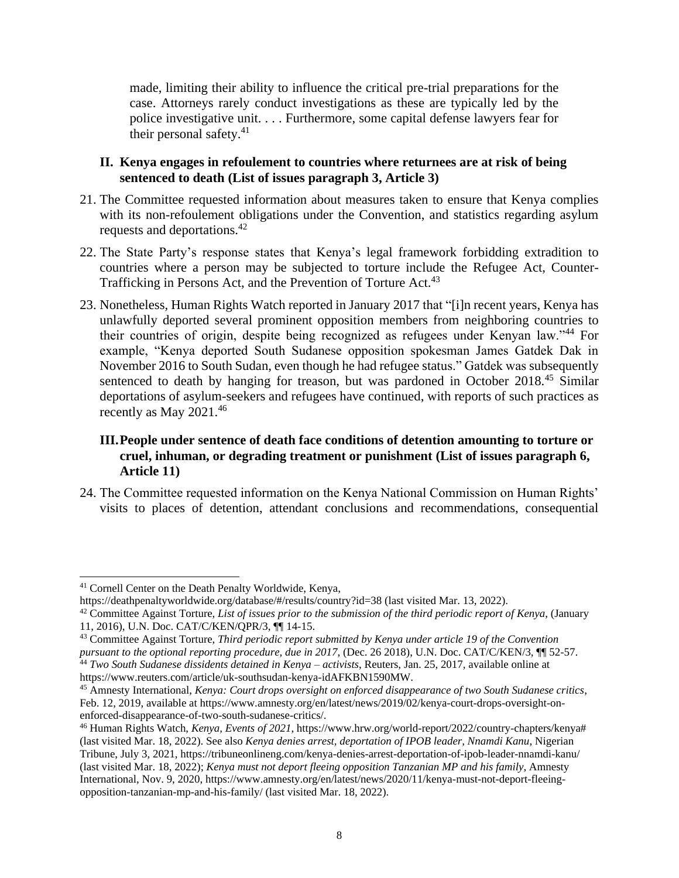made, limiting their ability to influence the critical pre-trial preparations for the case. Attorneys rarely conduct investigations as these are typically led by the police investigative unit. . . . Furthermore, some capital defense lawyers fear for their personal safety. $41$ 

#### **II. Kenya engages in refoulement to countries where returnees are at risk of being sentenced to death (List of issues paragraph 3, Article 3)**

- 21. The Committee requested information about measures taken to ensure that Kenya complies with its non-refoulement obligations under the Convention, and statistics regarding asylum requests and deportations.<sup>42</sup>
- 22. The State Party's response states that Kenya's legal framework forbidding extradition to countries where a person may be subjected to torture include the Refugee Act, Counter-Trafficking in Persons Act, and the Prevention of Torture Act.<sup>43</sup>
- 23. Nonetheless, Human Rights Watch reported in January 2017 that "[i]n recent years, Kenya has unlawfully deported several prominent opposition members from neighboring countries to their countries of origin, despite being recognized as refugees under Kenyan law."<sup>44</sup> For example, "Kenya deported South Sudanese opposition spokesman James Gatdek Dak in November 2016 to South Sudan, even though he had refugee status." Gatdek was subsequently sentenced to death by hanging for treason, but was pardoned in October 2018.<sup>45</sup> Similar deportations of asylum-seekers and refugees have continued, with reports of such practices as recently as May  $2021.^{46}$

## **III.People under sentence of death face conditions of detention amounting to torture or cruel, inhuman, or degrading treatment or punishment (List of issues paragraph 6, Article 11)**

24. The Committee requested information on the Kenya National Commission on Human Rights' visits to places of detention, attendant conclusions and recommendations, consequential

<sup>41</sup> Cornell Center on the Death Penalty Worldwide, Kenya,

https://deathpenaltyworldwide.org/database/#/results/country?id=38 (last visited Mar. 13, 2022).

<sup>42</sup> Committee Against Torture, *List of issues prior to the submission of the third periodic report of Kenya*, (January 11, 2016), U.N. Doc. CAT/C/KEN/QPR/3, ¶¶ 14-15.

<sup>43</sup> Committee Against Torture, *Third periodic report submitted by Kenya under article 19 of the Convention* 

*pursuant to the optional reporting procedure, due in 2017*, (Dec. 26 2018), U.N. Doc. CAT/C/KEN/3, ¶¶ 52-57.

<sup>44</sup> *Two South Sudanese dissidents detained in Kenya – activists*, Reuters, Jan. 25, 2017, available online at https://www.reuters.com/article/uk-southsudan-kenya-idAFKBN1590MW.

<sup>45</sup> Amnesty International, *Kenya: Court drops oversight on enforced disappearance of two South Sudanese critics*, Feb. 12, 2019, available at https://www.amnesty.org/en/latest/news/2019/02/kenya-court-drops-oversight-onenforced-disappearance-of-two-south-sudanese-critics/.

<sup>46</sup> Human Rights Watch, *Kenya, Events of 2021*, https://www.hrw.org/world-report/2022/country-chapters/kenya# (last visited Mar. 18, 2022). See also *Kenya denies arrest, deportation of IPOB leader, Nnamdi Kanu*, Nigerian Tribune, July 3, 2021, https://tribuneonlineng.com/kenya-denies-arrest-deportation-of-ipob-leader-nnamdi-kanu/ (last visited Mar. 18, 2022); *Kenya must not deport fleeing opposition Tanzanian MP and his family*, Amnesty International, Nov. 9, 2020, https://www.amnesty.org/en/latest/news/2020/11/kenya-must-not-deport-fleeingopposition-tanzanian-mp-and-his-family/ (last visited Mar. 18, 2022).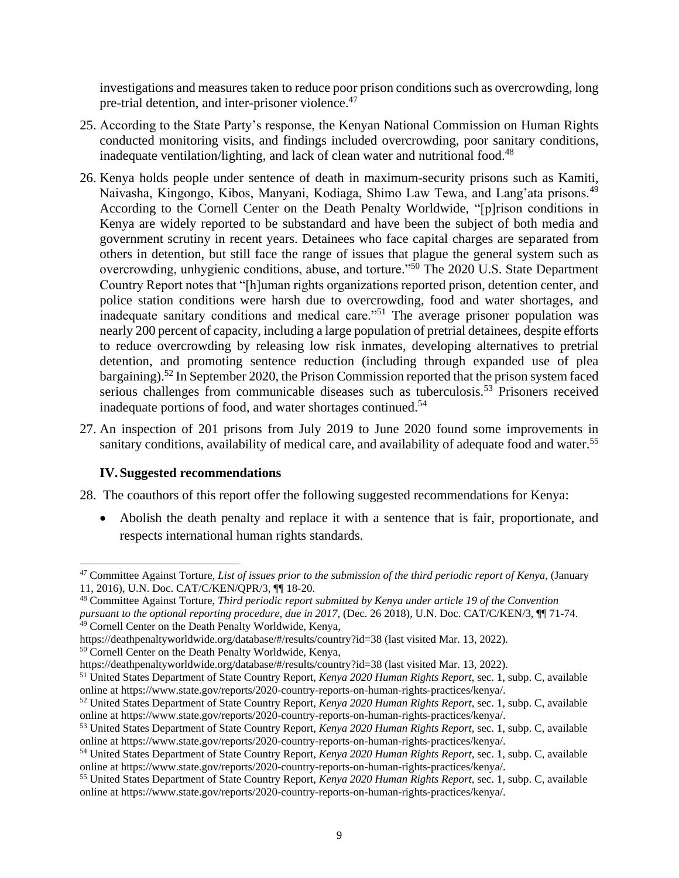investigations and measures taken to reduce poor prison conditions such as overcrowding, long pre-trial detention, and inter-prisoner violence.<sup>47</sup>

- 25. According to the State Party's response, the Kenyan National Commission on Human Rights conducted monitoring visits, and findings included overcrowding, poor sanitary conditions, inadequate ventilation/lighting, and lack of clean water and nutritional food.<sup>48</sup>
- 26. Kenya holds people under sentence of death in maximum-security prisons such as Kamiti, Naivasha, Kingongo, Kibos, Manyani, Kodiaga, Shimo Law Tewa, and Lang'ata prisons.<sup>49</sup> According to the Cornell Center on the Death Penalty Worldwide, "[p]rison conditions in Kenya are widely reported to be substandard and have been the subject of both media and government scrutiny in recent years. Detainees who face capital charges are separated from others in detention, but still face the range of issues that plague the general system such as overcrowding, unhygienic conditions, abuse, and torture."<sup>50</sup> The 2020 U.S. State Department Country Report notes that "[h]uman rights organizations reported prison, detention center, and police station conditions were harsh due to overcrowding, food and water shortages, and inadequate sanitary conditions and medical care."<sup>51</sup> The average prisoner population was nearly 200 percent of capacity, including a large population of pretrial detainees, despite efforts to reduce overcrowding by releasing low risk inmates, developing alternatives to pretrial detention, and promoting sentence reduction (including through expanded use of plea bargaining).<sup>52</sup> In September 2020, the Prison Commission reported that the prison system faced serious challenges from communicable diseases such as tuberculosis.<sup>53</sup> Prisoners received inadequate portions of food, and water shortages continued.<sup>54</sup>
- 27. An inspection of 201 prisons from July 2019 to June 2020 found some improvements in sanitary conditions, availability of medical care, and availability of adequate food and water.<sup>55</sup>

## **IV.Suggested recommendations**

- 28. The coauthors of this report offer the following suggested recommendations for Kenya:
	- Abolish the death penalty and replace it with a sentence that is fair, proportionate, and respects international human rights standards.

<sup>47</sup> Committee Against Torture, *List of issues prior to the submission of the third periodic report of Kenya*, (January 11, 2016), U.N. Doc. CAT/C/KEN/QPR/3, ¶¶ 18-20.

<sup>48</sup> Committee Against Torture, *Third periodic report submitted by Kenya under article 19 of the Convention pursuant to the optional reporting procedure, due in 2017*, (Dec. 26 2018), U.N. Doc. CAT/C/KEN/3, ¶¶ 71-74. 49 Cornell Center on the Death Penalty Worldwide, Kenya,

https://deathpenaltyworldwide.org/database/#/results/country?id=38 (last visited Mar. 13, 2022).

<sup>50</sup> Cornell Center on the Death Penalty Worldwide, Kenya,

https://deathpenaltyworldwide.org/database/#/results/country?id=38 (last visited Mar. 13, 2022).

<sup>51</sup> United States Department of State Country Report, *Kenya 2020 Human Rights Report*, sec. 1, subp. C, available online at https://www.state.gov/reports/2020-country-reports-on-human-rights-practices/kenya/.

<sup>52</sup> United States Department of State Country Report, *Kenya 2020 Human Rights Report*, sec. 1, subp. C, available online at https://www.state.gov/reports/2020-country-reports-on-human-rights-practices/kenya/.

<sup>53</sup> United States Department of State Country Report, *Kenya 2020 Human Rights Report*, sec. 1, subp. C, available online at https://www.state.gov/reports/2020-country-reports-on-human-rights-practices/kenya/.

<sup>54</sup> United States Department of State Country Report, *Kenya 2020 Human Rights Report*, sec. 1, subp. C, available online at https://www.state.gov/reports/2020-country-reports-on-human-rights-practices/kenya/.

<sup>55</sup> United States Department of State Country Report, *Kenya 2020 Human Rights Report*, sec. 1, subp. C, available online at https://www.state.gov/reports/2020-country-reports-on-human-rights-practices/kenya/.